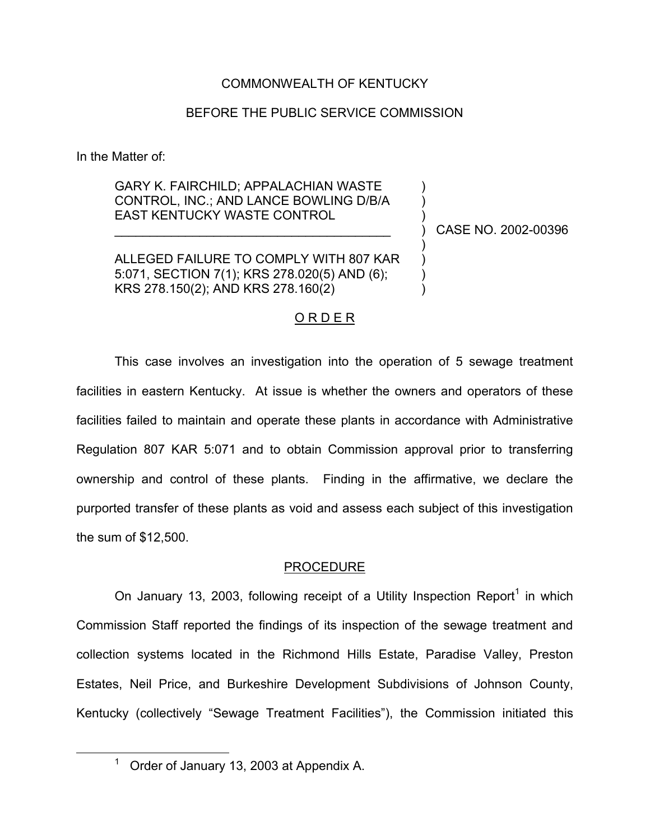### COMMONWEALTH OF KENTUCKY

### BEFORE THE PUBLIC SERVICE COMMISSION

In the Matter of:

GARY K. FAIRCHILD; APPALACHIAN WASTE CONTROL, INC.; AND LANCE BOWLING D/B/A EAST KENTUCKY WASTE CONTROL

 $\mathcal{L}_\text{max}$  , where  $\mathcal{L}_\text{max}$  and  $\mathcal{L}_\text{max}$  and  $\mathcal{L}_\text{max}$ 

ALLEGED FAILURE TO COMPLY WITH 807 KAR 5:071, SECTION 7(1); KRS 278.020(5) AND (6); KRS 278.150(2); AND KRS 278.160(2)

) CASE NO. 2002-00396

) ) )

) ) ) )

#### O R D E R

This case involves an investigation into the operation of 5 sewage treatment facilities in eastern Kentucky. At issue is whether the owners and operators of these facilities failed to maintain and operate these plants in accordance with Administrative Regulation 807 KAR 5:071 and to obtain Commission approval prior to transferring ownership and control of these plants. Finding in the affirmative, we declare the purported transfer of these plants as void and assess each subject of this investigation the sum of \$12,500.

#### PROCEDURE

On January 13, 2003, following receipt of a Utility Inspection Report<sup>1</sup> in which Commission Staff reported the findings of its inspection of the sewage treatment and collection systems located in the Richmond Hills Estate, Paradise Valley, Preston Estates, Neil Price, and Burkeshire Development Subdivisions of Johnson County, Kentucky (collectively "Sewage Treatment Facilities"), the Commission initiated this

 $1$  Order of January 13, 2003 at Appendix A.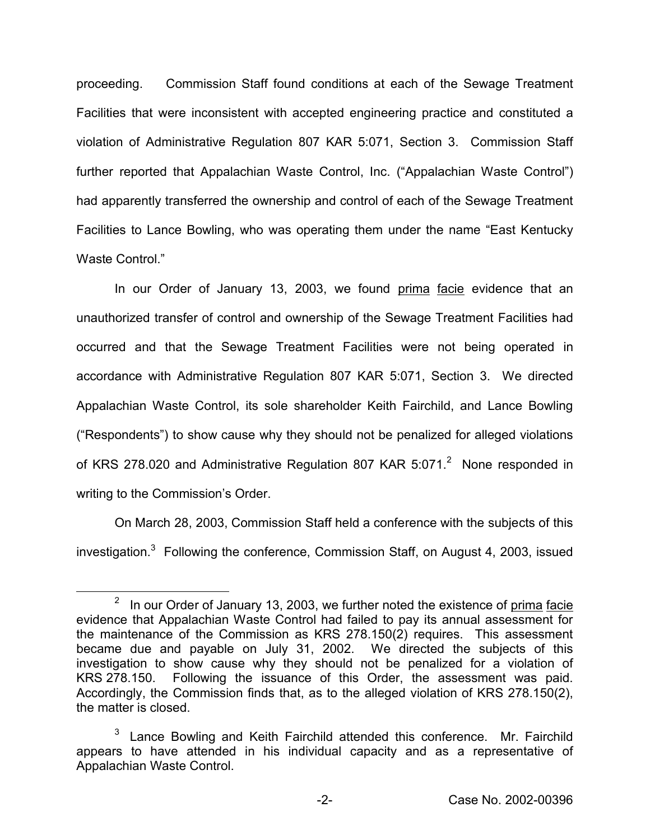proceeding. Commission Staff found conditions at each of the Sewage Treatment Facilities that were inconsistent with accepted engineering practice and constituted a violation of Administrative Regulation 807 KAR 5:071, Section 3. Commission Staff further reported that Appalachian Waste Control, Inc. ("Appalachian Waste Control") had apparently transferred the ownership and control of each of the Sewage Treatment Facilities to Lance Bowling, who was operating them under the name "East Kentucky Waste Control."

In our Order of January 13, 2003, we found prima facie evidence that an unauthorized transfer of control and ownership of the Sewage Treatment Facilities had occurred and that the Sewage Treatment Facilities were not being operated in accordance with Administrative Regulation 807 KAR 5:071, Section 3. We directed Appalachian Waste Control, its sole shareholder Keith Fairchild, and Lance Bowling ("Respondents") to show cause why they should not be penalized for alleged violations of KRS 278.020 and Administrative Regulation 807 KAR 5:071.<sup>2</sup> None responded in writing to the Commission's Order.

On March 28, 2003, Commission Staff held a conference with the subjects of this investigation. $3$  Following the conference, Commission Staff, on August 4, 2003, issued

 $2$  In our Order of January 13, 2003, we further noted the existence of prima facie evidence that Appalachian Waste Control had failed to pay its annual assessment for the maintenance of the Commission as KRS 278.150(2) requires. This assessment became due and payable on July 31, 2002. We directed the subjects of this investigation to show cause why they should not be penalized for a violation of KRS 278.150. Following the issuance of this Order, the assessment was paid. Accordingly, the Commission finds that, as to the alleged violation of KRS 278.150(2), the matter is closed.

Lance Bowling and Keith Fairchild attended this conference. Mr. Fairchild appears to have attended in his individual capacity and as a representative of Appalachian Waste Control.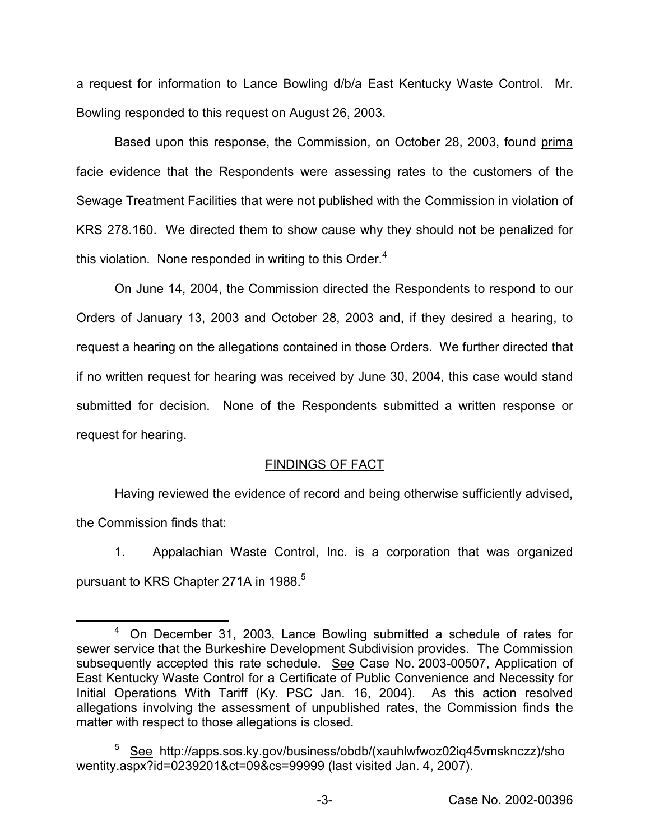a request for information to Lance Bowling d/b/a East Kentucky Waste Control. Mr. Bowling responded to this request on August 26, 2003.

Based upon this response, the Commission, on October 28, 2003, found prima facie evidence that the Respondents were assessing rates to the customers of the Sewage Treatment Facilities that were not published with the Commission in violation of KRS 278.160. We directed them to show cause why they should not be penalized for this violation. None responded in writing to this Order. $4$ 

On June 14, 2004, the Commission directed the Respondents to respond to our Orders of January 13, 2003 and October 28, 2003 and, if they desired a hearing, to request a hearing on the allegations contained in those Orders. We further directed that if no written request for hearing was received by June 30, 2004, this case would stand submitted for decision. None of the Respondents submitted a written response or request for hearing.

# FINDINGS OF FACT

Having reviewed the evidence of record and being otherwise sufficiently advised, the Commission finds that:

1. Appalachian Waste Control, Inc. is a corporation that was organized pursuant to KRS Chapter 271A in 1988.<sup>5</sup>

<sup>4</sup> On December 31, 2003, Lance Bowling submitted a schedule of rates for sewer service that the Burkeshire Development Subdivision provides. The Commission subsequently accepted this rate schedule. See Case No. 2003-00507, Application of East Kentucky Waste Control for a Certificate of Public Convenience and Necessity for Initial Operations With Tariff (Ky. PSC Jan. 16, 2004). As this action resolved allegations involving the assessment of unpublished rates, the Commission finds the matter with respect to those allegations is closed.

<sup>5</sup> See http://apps.sos.ky.gov/business/obdb/(xauhlwfwoz02iq45vmsknczz)/sho wentity.aspx?id=0239201&ct=09&cs=99999 (last visited Jan. 4, 2007).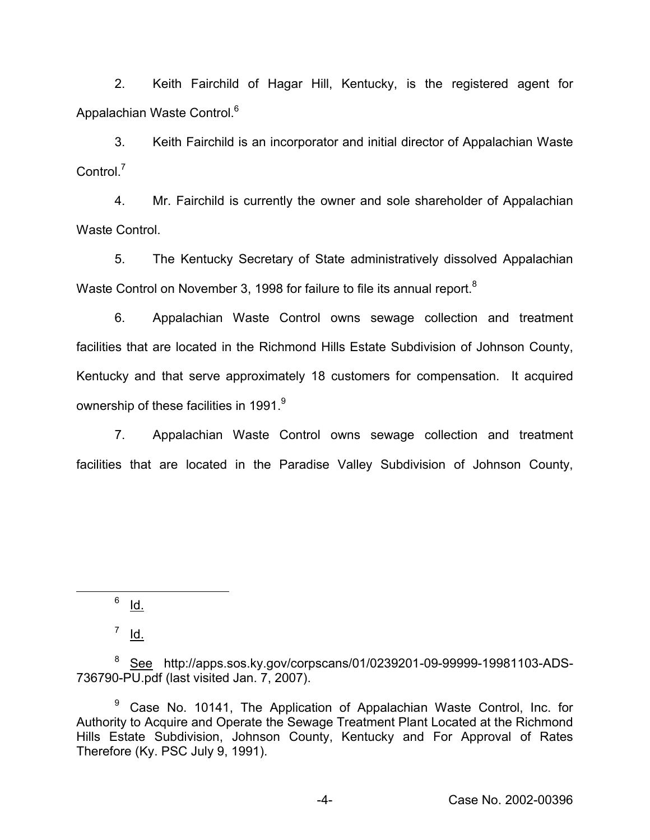2. Keith Fairchild of Hagar Hill, Kentucky, is the registered agent for Appalachian Waste Control.<sup>6</sup>

3. Keith Fairchild is an incorporator and initial director of Appalachian Waste Control.<sup>7</sup>

4. Mr. Fairchild is currently the owner and sole shareholder of Appalachian Waste Control.

5. The Kentucky Secretary of State administratively dissolved Appalachian Waste Control on November 3, 1998 for failure to file its annual report.<sup>8</sup>

6. Appalachian Waste Control owns sewage collection and treatment facilities that are located in the Richmond Hills Estate Subdivision of Johnson County, Kentucky and that serve approximately 18 customers for compensation. It acquired ownership of these facilities in 1991.<sup>9</sup>

7. Appalachian Waste Control owns sewage collection and treatment facilities that are located in the Paradise Valley Subdivision of Johnson County,

 $6$  Id.

 $^7$  Id.

<sup>&</sup>lt;sup>8</sup> See http://apps.sos.ky.gov/corpscans/01/0239201-09-99999-19981103-ADS-736790-PU.pdf (last visited Jan. 7, 2007).

<sup>&</sup>lt;sup>9</sup> Case No. 10141, The Application of Appalachian Waste Control, Inc. for Authority to Acquire and Operate the Sewage Treatment Plant Located at the Richmond Hills Estate Subdivision, Johnson County, Kentucky and For Approval of Rates Therefore (Ky. PSC July 9, 1991).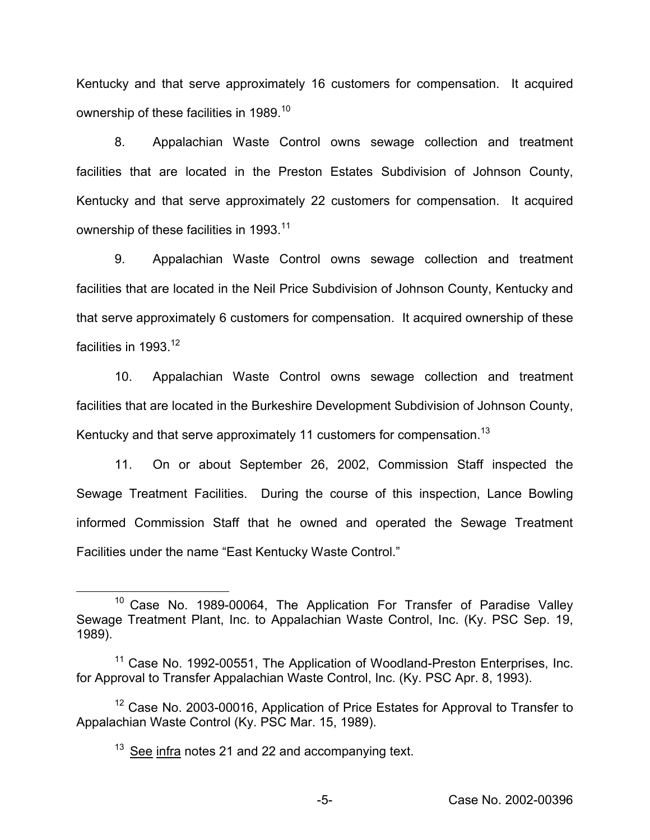Kentucky and that serve approximately 16 customers for compensation. It acquired ownership of these facilities in 1989.<sup>10</sup>

8. Appalachian Waste Control owns sewage collection and treatment facilities that are located in the Preston Estates Subdivision of Johnson County, Kentucky and that serve approximately 22 customers for compensation. It acquired ownership of these facilities in 1993.<sup>11</sup>

9. Appalachian Waste Control owns sewage collection and treatment facilities that are located in the Neil Price Subdivision of Johnson County, Kentucky and that serve approximately 6 customers for compensation. It acquired ownership of these facilities in 1993 $12$ 

10. Appalachian Waste Control owns sewage collection and treatment facilities that are located in the Burkeshire Development Subdivision of Johnson County, Kentucky and that serve approximately 11 customers for compensation.<sup>13</sup>

11. On or about September 26, 2002, Commission Staff inspected the Sewage Treatment Facilities. During the course of this inspection, Lance Bowling informed Commission Staff that he owned and operated the Sewage Treatment Facilities under the name "East Kentucky Waste Control."

<sup>&</sup>lt;sup>10</sup> Case No. 1989-00064, The Application For Transfer of Paradise Valley Sewage Treatment Plant, Inc. to Appalachian Waste Control, Inc. (Ky. PSC Sep. 19, 1989).

<sup>&</sup>lt;sup>11</sup> Case No. 1992-00551, The Application of Woodland-Preston Enterprises, Inc. for Approval to Transfer Appalachian Waste Control, Inc. (Ky. PSC Apr. 8, 1993).

<sup>&</sup>lt;sup>12</sup> Case No. 2003-00016, Application of Price Estates for Approval to Transfer to Appalachian Waste Control (Ky. PSC Mar. 15, 1989).

 $13$  See infra notes 21 and 22 and accompanying text.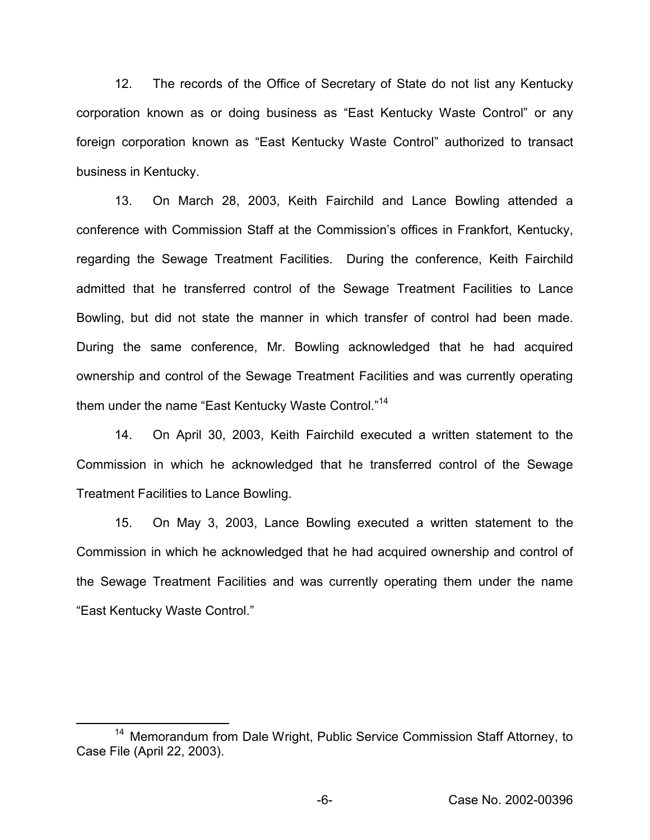12. The records of the Office of Secretary of State do not list any Kentucky corporation known as or doing business as "East Kentucky Waste Control" or any foreign corporation known as "East Kentucky Waste Control" authorized to transact business in Kentucky.

13. On March 28, 2003, Keith Fairchild and Lance Bowling attended a conference with Commission Staff at the Commission's offices in Frankfort, Kentucky, regarding the Sewage Treatment Facilities. During the conference, Keith Fairchild admitted that he transferred control of the Sewage Treatment Facilities to Lance Bowling, but did not state the manner in which transfer of control had been made. During the same conference, Mr. Bowling acknowledged that he had acquired ownership and control of the Sewage Treatment Facilities and was currently operating them under the name "East Kentucky Waste Control."<sup>14</sup>

14. On April 30, 2003, Keith Fairchild executed a written statement to the Commission in which he acknowledged that he transferred control of the Sewage Treatment Facilities to Lance Bowling.

15. On May 3, 2003, Lance Bowling executed a written statement to the Commission in which he acknowledged that he had acquired ownership and control of the Sewage Treatment Facilities and was currently operating them under the name "East Kentucky Waste Control."

<sup>14</sup> Memorandum from Dale Wright, Public Service Commission Staff Attorney, to Case File (April 22, 2003).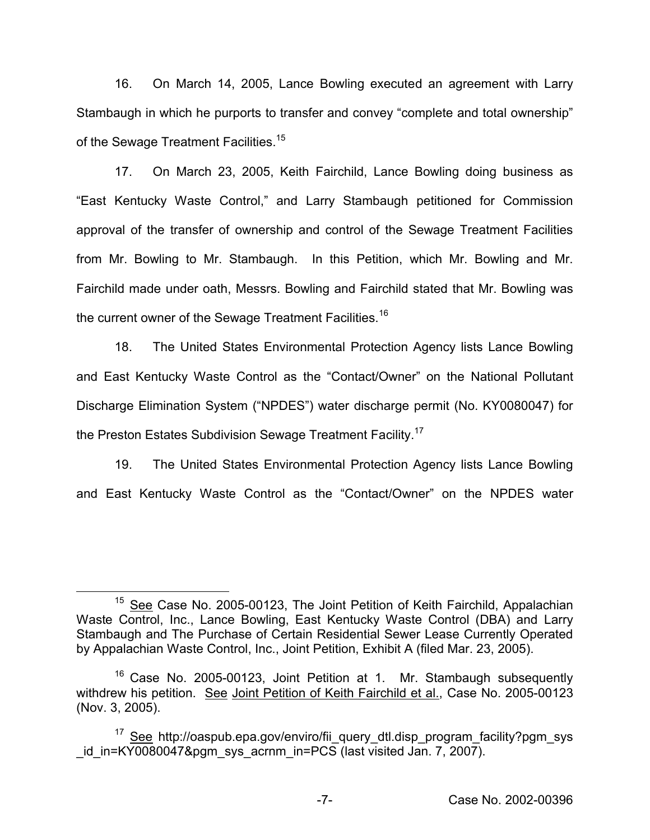16. On March 14, 2005, Lance Bowling executed an agreement with Larry Stambaugh in which he purports to transfer and convey "complete and total ownership" of the Sewage Treatment Facilities.<sup>15</sup>

17. On March 23, 2005, Keith Fairchild, Lance Bowling doing business as "East Kentucky Waste Control," and Larry Stambaugh petitioned for Commission approval of the transfer of ownership and control of the Sewage Treatment Facilities from Mr. Bowling to Mr. Stambaugh. In this Petition, which Mr. Bowling and Mr. Fairchild made under oath, Messrs. Bowling and Fairchild stated that Mr. Bowling was the current owner of the Sewage Treatment Facilities.<sup>16</sup>

18. The United States Environmental Protection Agency lists Lance Bowling and East Kentucky Waste Control as the "Contact/Owner" on the National Pollutant Discharge Elimination System ("NPDES") water discharge permit (No. KY0080047) for the Preston Estates Subdivision Sewage Treatment Facility.<sup>17</sup>

19. The United States Environmental Protection Agency lists Lance Bowling and East Kentucky Waste Control as the "Contact/Owner" on the NPDES water

<sup>&</sup>lt;sup>15</sup> See Case No. 2005-00123, The Joint Petition of Keith Fairchild, Appalachian Waste Control, Inc., Lance Bowling, East Kentucky Waste Control (DBA) and Larry Stambaugh and The Purchase of Certain Residential Sewer Lease Currently Operated by Appalachian Waste Control, Inc., Joint Petition, Exhibit A (filed Mar. 23, 2005).

<sup>&</sup>lt;sup>16</sup> Case No. 2005-00123, Joint Petition at 1. Mr. Stambaugh subsequently withdrew his petition. See Joint Petition of Keith Fairchild et al., Case No. 2005-00123 (Nov. 3, 2005).

<sup>&</sup>lt;sup>17</sup> See http://oaspub.epa.gov/enviro/fii\_query\_dtl.disp\_program\_facility?pgm\_sys id in=KY0080047&pgm sys acrnm in=PCS (last visited Jan. 7, 2007).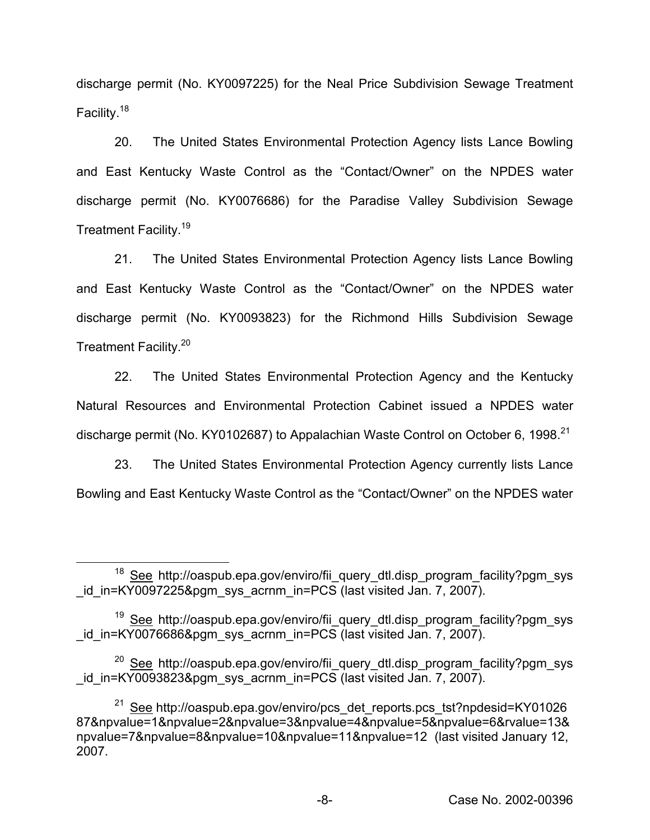discharge permit (No. KY0097225) for the Neal Price Subdivision Sewage Treatment Facility.<sup>18</sup>

20. The United States Environmental Protection Agency lists Lance Bowling and East Kentucky Waste Control as the "Contact/Owner" on the NPDES water discharge permit (No. KY0076686) for the Paradise Valley Subdivision Sewage Treatment Facility.19

21. The United States Environmental Protection Agency lists Lance Bowling and East Kentucky Waste Control as the "Contact/Owner" on the NPDES water discharge permit (No. KY0093823) for the Richmond Hills Subdivision Sewage Treatment Facility.<sup>20</sup>

22. The United States Environmental Protection Agency and the Kentucky Natural Resources and Environmental Protection Cabinet issued a NPDES water discharge permit (No. KY0102687) to Appalachian Waste Control on October 6, 1998.<sup>21</sup>

23. The United States Environmental Protection Agency currently lists Lance Bowling and East Kentucky Waste Control as the "Contact/Owner" on the NPDES water

<sup>&</sup>lt;sup>18</sup> See http://oaspub.epa.gov/enviro/fii query dtl.disp\_program\_facility?pgm\_sys id in=KY0097225&pgm\_sys\_acrnm\_in=PCS (last visited Jan. 7, 2007).

<sup>&</sup>lt;sup>19</sup> See http://oaspub.epa.gov/enviro/fii\_query\_dtl.disp\_program\_facility?pgm\_sys id in=KY0076686&pgm sys acrnm in=PCS (last visited Jan. 7, 2007).

<sup>&</sup>lt;sup>20</sup> See http://oaspub.epa.gov/enviro/fii\_query\_dtl.disp\_program\_facility?pgm\_sys id in=KY0093823&pgm\_sys\_acrnm\_in=PCS (last visited Jan. 7, 2007).

<sup>&</sup>lt;sup>21</sup> See http://oaspub.epa.gov/enviro/pcs\_det\_reports.pcs\_tst?npdesid=KY01026 87&npvalue=1&npvalue=2&npvalue=3&npvalue=4&npvalue=5&npvalue=6&rvalue=13& npvalue=7&npvalue=8&npvalue=10&npvalue=11&npvalue=12 (last visited January 12, 2007.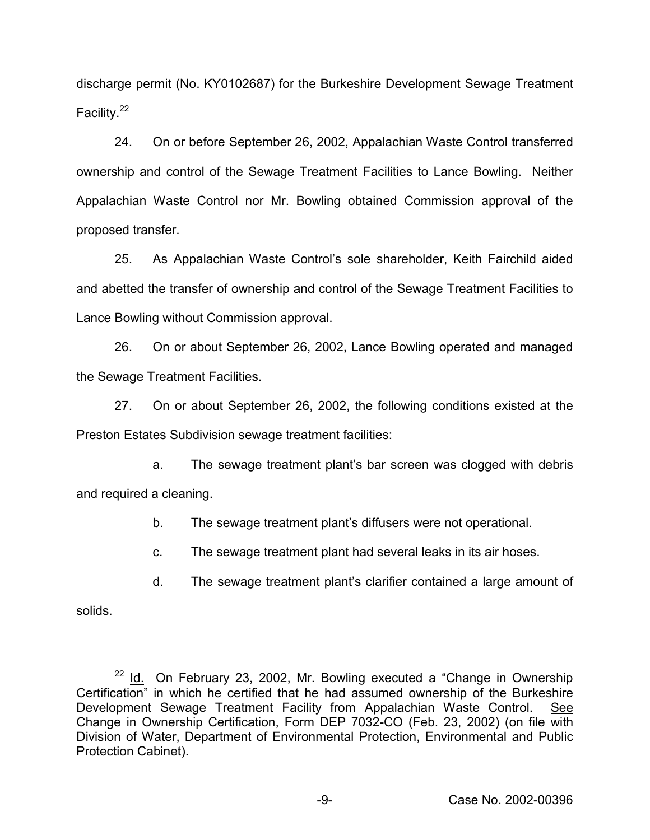discharge permit (No. KY0102687) for the Burkeshire Development Sewage Treatment Facility.<sup>22</sup>

24. On or before September 26, 2002, Appalachian Waste Control transferred ownership and control of the Sewage Treatment Facilities to Lance Bowling. Neither Appalachian Waste Control nor Mr. Bowling obtained Commission approval of the proposed transfer.

25. As Appalachian Waste Control's sole shareholder, Keith Fairchild aided and abetted the transfer of ownership and control of the Sewage Treatment Facilities to Lance Bowling without Commission approval.

26. On or about September 26, 2002, Lance Bowling operated and managed the Sewage Treatment Facilities.

27. On or about September 26, 2002, the following conditions existed at the Preston Estates Subdivision sewage treatment facilities:

a. The sewage treatment plant's bar screen was clogged with debris and required a cleaning.

b. The sewage treatment plant's diffusers were not operational.

c. The sewage treatment plant had several leaks in its air hoses.

d. The sewage treatment plant's clarifier contained a large amount of

solids.

 $22$  Id. On February 23, 2002, Mr. Bowling executed a "Change in Ownership Certification" in which he certified that he had assumed ownership of the Burkeshire Development Sewage Treatment Facility from Appalachian Waste Control. See Change in Ownership Certification, Form DEP 7032-CO (Feb. 23, 2002) (on file with Division of Water, Department of Environmental Protection, Environmental and Public Protection Cabinet).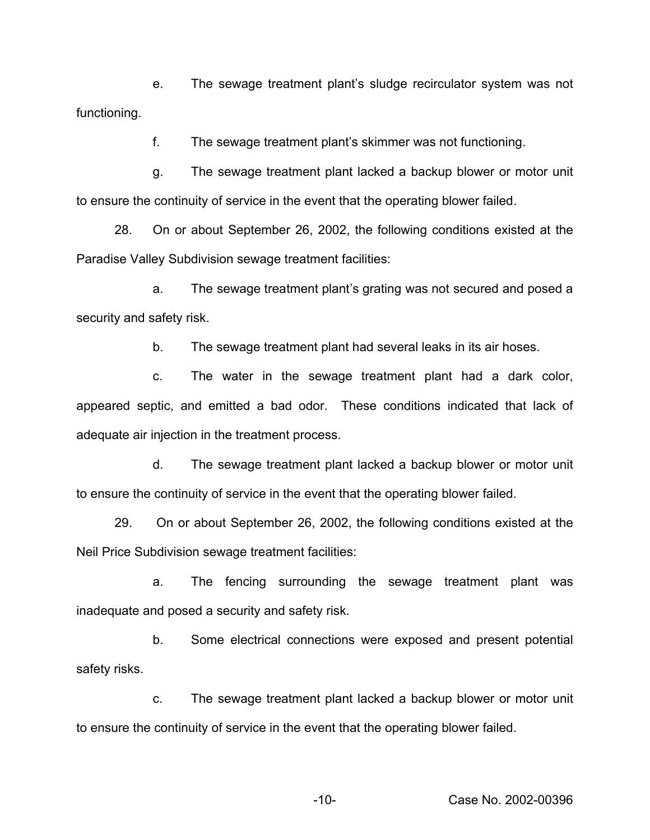e. The sewage treatment plant's sludge recirculator system was not functioning.

f. The sewage treatment plant's skimmer was not functioning.

g. The sewage treatment plant lacked a backup blower or motor unit to ensure the continuity of service in the event that the operating blower failed.

28. On or about September 26, 2002, the following conditions existed at the Paradise Valley Subdivision sewage treatment facilities:

a. The sewage treatment plant's grating was not secured and posed a security and safety risk.

b. The sewage treatment plant had several leaks in its air hoses.

c. The water in the sewage treatment plant had a dark color, appeared septic, and emitted a bad odor. These conditions indicated that lack of adequate air injection in the treatment process.

d. The sewage treatment plant lacked a backup blower or motor unit to ensure the continuity of service in the event that the operating blower failed.

29. On or about September 26, 2002, the following conditions existed at the Neil Price Subdivision sewage treatment facilities:

a. The fencing surrounding the sewage treatment plant was inadequate and posed a security and safety risk.

b. Some electrical connections were exposed and present potential safety risks.

c. The sewage treatment plant lacked a backup blower or motor unit to ensure the continuity of service in the event that the operating blower failed.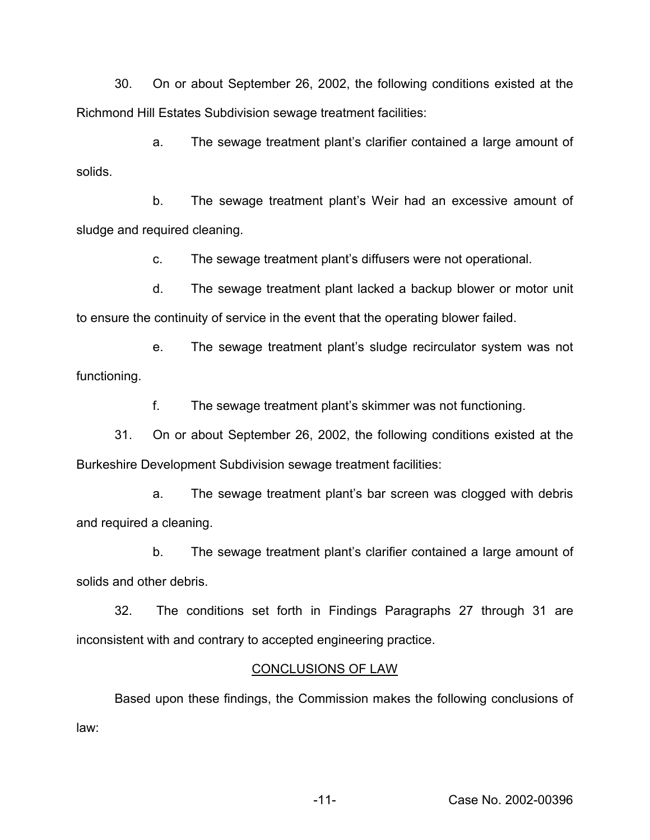30. On or about September 26, 2002, the following conditions existed at the Richmond Hill Estates Subdivision sewage treatment facilities:

a. The sewage treatment plant's clarifier contained a large amount of solids.

b. The sewage treatment plant's Weir had an excessive amount of sludge and required cleaning.

c. The sewage treatment plant's diffusers were not operational.

d. The sewage treatment plant lacked a backup blower or motor unit to ensure the continuity of service in the event that the operating blower failed.

e. The sewage treatment plant's sludge recirculator system was not functioning.

f. The sewage treatment plant's skimmer was not functioning.

31. On or about September 26, 2002, the following conditions existed at the Burkeshire Development Subdivision sewage treatment facilities:

a. The sewage treatment plant's bar screen was clogged with debris and required a cleaning.

b. The sewage treatment plant's clarifier contained a large amount of solids and other debris.

32. The conditions set forth in Findings Paragraphs 27 through 31 are inconsistent with and contrary to accepted engineering practice.

# CONCLUSIONS OF LAW

Based upon these findings, the Commission makes the following conclusions of law: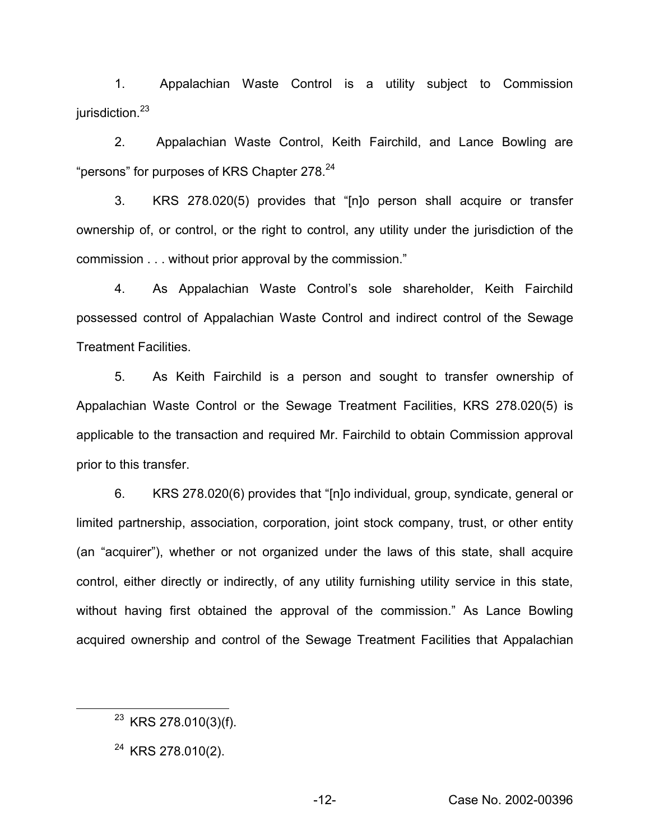1. Appalachian Waste Control is a utility subject to Commission jurisdiction.<sup>23</sup>

2. Appalachian Waste Control, Keith Fairchild, and Lance Bowling are "persons" for purposes of KRS Chapter 278.<sup>24</sup>

3. KRS 278.020(5) provides that "[n]o person shall acquire or transfer ownership of, or control, or the right to control, any utility under the jurisdiction of the commission . . . without prior approval by the commission."

4. As Appalachian Waste Control's sole shareholder, Keith Fairchild possessed control of Appalachian Waste Control and indirect control of the Sewage Treatment Facilities.

5. As Keith Fairchild is a person and sought to transfer ownership of Appalachian Waste Control or the Sewage Treatment Facilities, KRS 278.020(5) is applicable to the transaction and required Mr. Fairchild to obtain Commission approval prior to this transfer.

6. KRS 278.020(6) provides that "[n]o individual, group, syndicate, general or limited partnership, association, corporation, joint stock company, trust, or other entity (an "acquirer"), whether or not organized under the laws of this state, shall acquire control, either directly or indirectly, of any utility furnishing utility service in this state, without having first obtained the approval of the commission." As Lance Bowling acquired ownership and control of the Sewage Treatment Facilities that Appalachian

 $23$  KRS 278.010(3)(f).

<sup>&</sup>lt;sup>24</sup> KRS 278.010(2).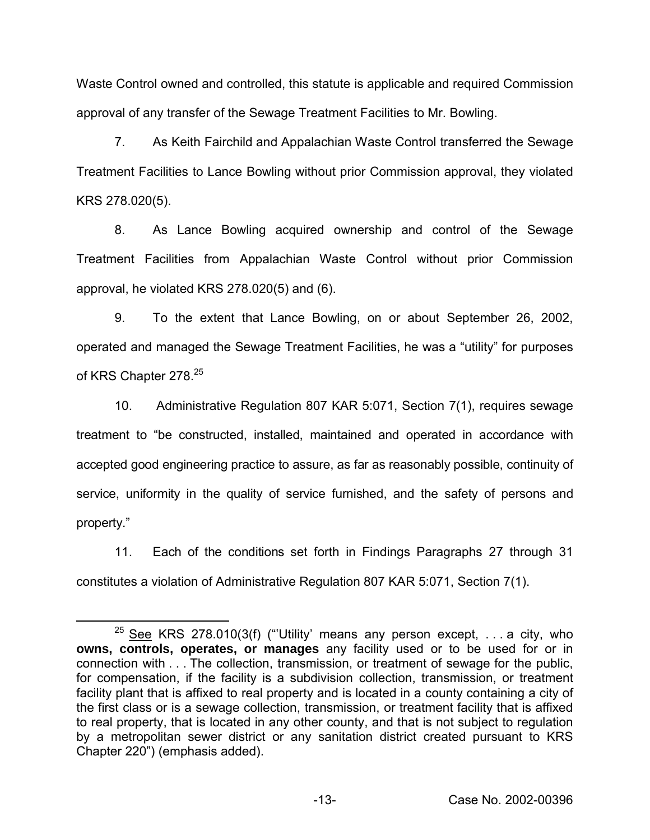Waste Control owned and controlled, this statute is applicable and required Commission approval of any transfer of the Sewage Treatment Facilities to Mr. Bowling.

7. As Keith Fairchild and Appalachian Waste Control transferred the Sewage Treatment Facilities to Lance Bowling without prior Commission approval, they violated KRS 278.020(5).

8. As Lance Bowling acquired ownership and control of the Sewage Treatment Facilities from Appalachian Waste Control without prior Commission approval, he violated KRS 278.020(5) and (6).

9. To the extent that Lance Bowling, on or about September 26, 2002, operated and managed the Sewage Treatment Facilities, he was a "utility" for purposes of KRS Chapter 278.<sup>25</sup>

10. Administrative Regulation 807 KAR 5:071, Section 7(1), requires sewage treatment to "be constructed, installed, maintained and operated in accordance with accepted good engineering practice to assure, as far as reasonably possible, continuity of service, uniformity in the quality of service furnished, and the safety of persons and property."

11. Each of the conditions set forth in Findings Paragraphs 27 through 31 constitutes a violation of Administrative Regulation 807 KAR 5:071, Section 7(1).

<sup>&</sup>lt;sup>25</sup> See KRS 278.010(3(f) ("'Utility' means any person except,  $\dots$  a city, who **owns, controls, operates, or manages** any facility used or to be used for or in connection with . . . The collection, transmission, or treatment of sewage for the public, for compensation, if the facility is a subdivision collection, transmission, or treatment facility plant that is affixed to real property and is located in a county containing a city of the first class or is a sewage collection, transmission, or treatment facility that is affixed to real property, that is located in any other county, and that is not subject to regulation by a metropolitan sewer district or any sanitation district created pursuant to KRS Chapter 220") (emphasis added).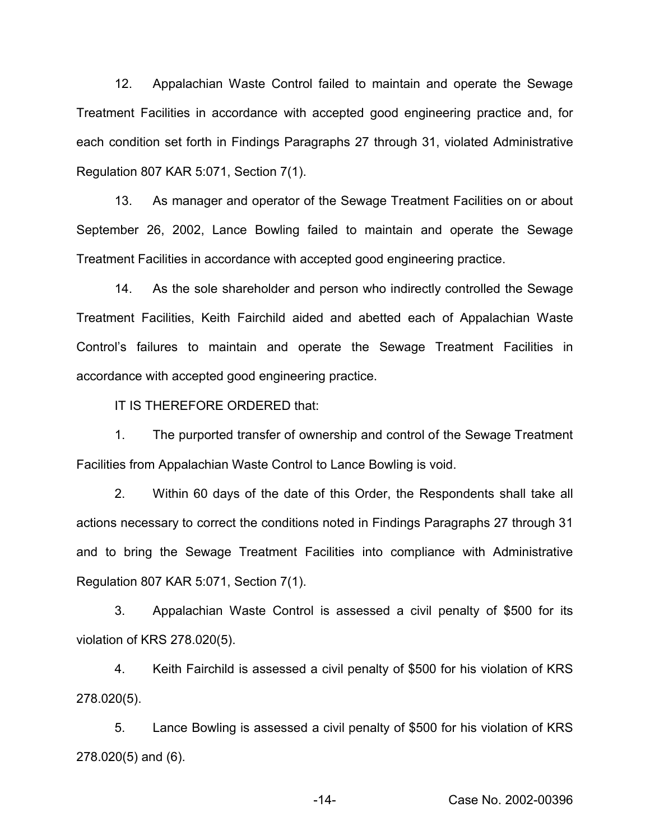12. Appalachian Waste Control failed to maintain and operate the Sewage Treatment Facilities in accordance with accepted good engineering practice and, for each condition set forth in Findings Paragraphs 27 through 31, violated Administrative Regulation 807 KAR 5:071, Section 7(1).

13. As manager and operator of the Sewage Treatment Facilities on or about September 26, 2002, Lance Bowling failed to maintain and operate the Sewage Treatment Facilities in accordance with accepted good engineering practice.

14. As the sole shareholder and person who indirectly controlled the Sewage Treatment Facilities, Keith Fairchild aided and abetted each of Appalachian Waste Control's failures to maintain and operate the Sewage Treatment Facilities in accordance with accepted good engineering practice.

IT IS THEREFORE ORDERED that:

1. The purported transfer of ownership and control of the Sewage Treatment Facilities from Appalachian Waste Control to Lance Bowling is void.

2. Within 60 days of the date of this Order, the Respondents shall take all actions necessary to correct the conditions noted in Findings Paragraphs 27 through 31 and to bring the Sewage Treatment Facilities into compliance with Administrative Regulation 807 KAR 5:071, Section 7(1).

3. Appalachian Waste Control is assessed a civil penalty of \$500 for its violation of KRS 278.020(5).

4. Keith Fairchild is assessed a civil penalty of \$500 for his violation of KRS 278.020(5).

5. Lance Bowling is assessed a civil penalty of \$500 for his violation of KRS 278.020(5) and (6).

-14- Case No. 2002-00396